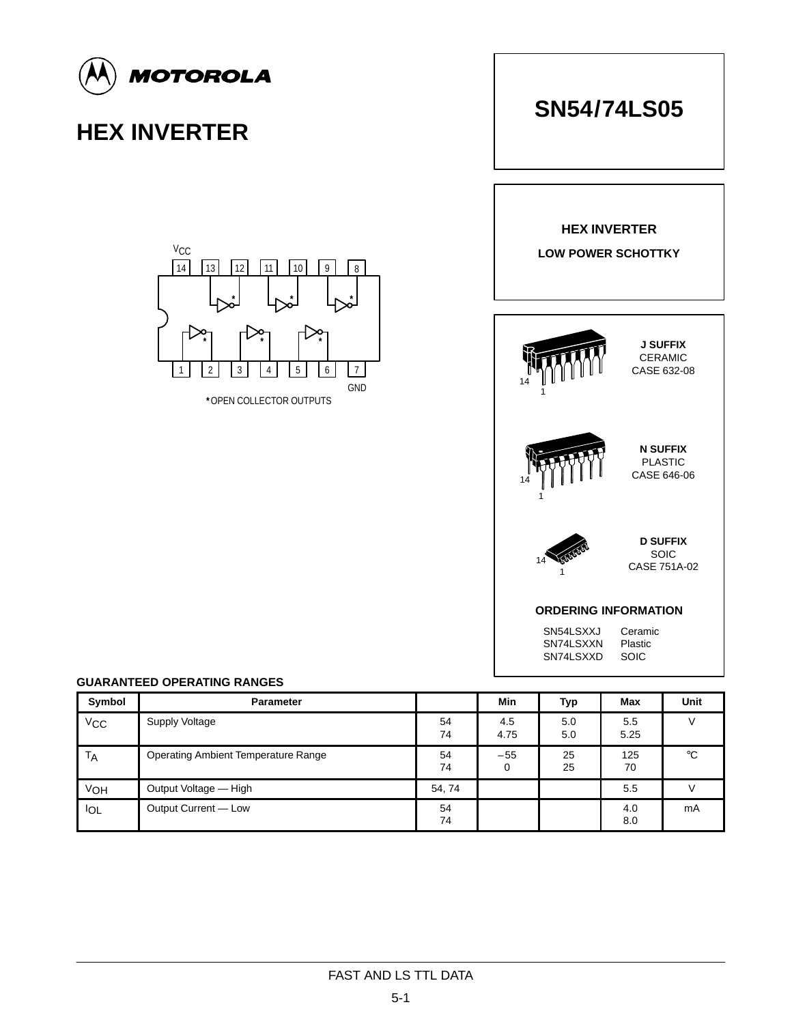

| <b>FAST AND LS TTL DATA</b> |  |
|-----------------------------|--|
|                             |  |

V<sub>OH</sub> Output Voltage — High **SA, 74** 54, 74 **54, 74** 55 V

I<sub>OL</sub> Output Current — Low 54

74

74

0

25

70

4.0 8.0 mA